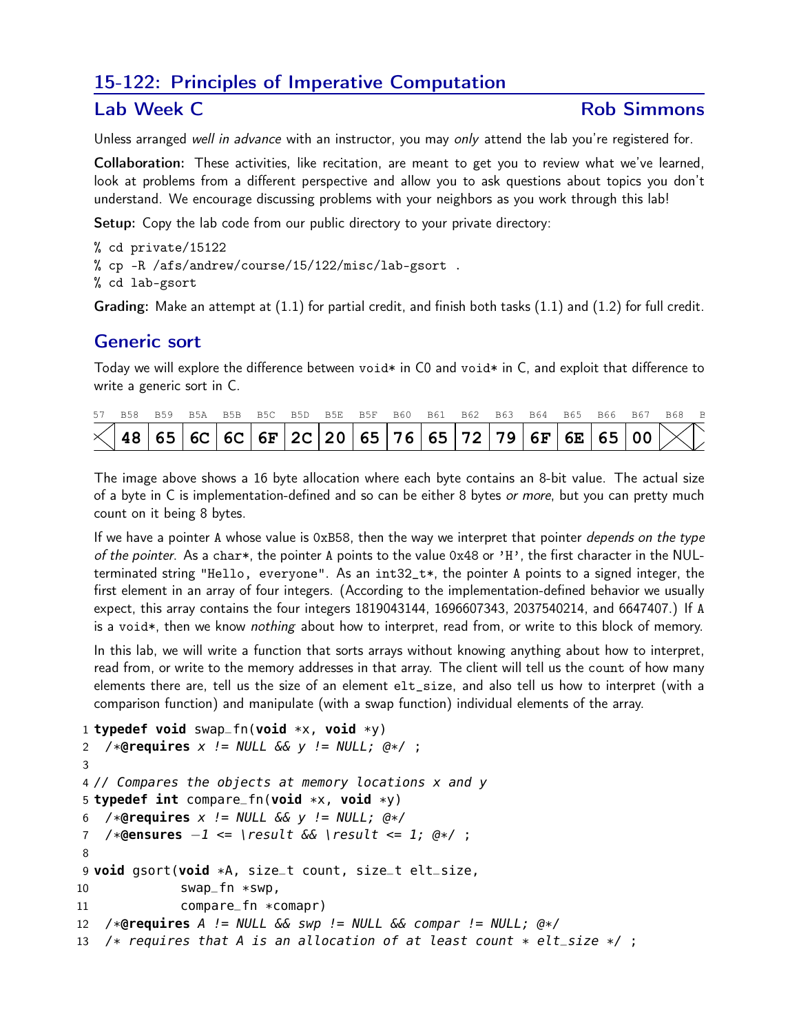# 15-122: Principles of Imperative Computation

### Lab Week C **Rob Simmons**

Unless arranged well in advance with an instructor, you may only attend the lab you're registered for.

Collaboration: These activities, like recitation, are meant to get you to review what we've learned, look at problems from a different perspective and allow you to ask questions about topics you don't understand. We encourage discussing problems with your neighbors as you work through this lab!

Setup: Copy the lab code from our public directory to your private directory:

- % cd private/15122
- % cp -R /afs/andrew/course/15/122/misc/lab-gsort .
- % cd lab-gsort

Grading: Make an attempt at (1.1) for partial credit, and finish both tasks (1.1) and (1.2) for full credit.

# Generic sort

Today we will explore the difference between void\* in C0 and void\* in C, and exploit that difference to write a generic sort in C.

|  | 57 B58 B59 B5A B5B B5C B5D B5E B5F B60 B61 B62 B63 B64 B65 B66 B67 B68 B    |  |  |  |  |  |  |  |  |
|--|-----------------------------------------------------------------------------|--|--|--|--|--|--|--|--|
|  | $\frac{1}{2}$ 48 65 6C 6C 6F 2C 20 65 76 65 72 79 6F 6E 65 00 $\frac{1}{2}$ |  |  |  |  |  |  |  |  |

The image above shows a 16 byte allocation where each byte contains an 8-bit value. The actual size of a byte in C is implementation-defined and so can be either 8 bytes or more, but you can pretty much count on it being 8 bytes.

If we have a pointer A whose value is  $0xB58$ , then the way we interpret that pointer *depends on the type* of the pointer. As a char\*, the pointer A points to the value  $0x48$  or 'H', the first character in the NULterminated string "Hello, everyone". As an int32\_t\*, the pointer A points to a signed integer, the first element in an array of four integers. (According to the implementation-defined behavior we usually expect, this array contains the four integers 1819043144, 1696607343, 2037540214, and 6647407.) If A is a void\*, then we know *nothing* about how to interpret, read from, or write to this block of memory.

In this lab, we will write a function that sorts arrays without knowing anything about how to interpret, read from, or write to the memory addresses in that array. The client will tell us the count of how many elements there are, tell us the size of an element elt\_size, and also tell us how to interpret (with a comparison function) and manipulate (with a swap function) individual elements of the array.

```
1 typedef void swap_fn(void *x, void *y)
2 /*@requires x != NULL && y != NULL; @*/ ;
3
4 // Compares the objects at memory locations x and y
5 typedef int compare_fn(void *x, void *y)
6 /*@requires x != NULL && y != NULL; @*/
7 /*@ensures −1 <= \result && \result <= 1; @*/ ;
8
9 void gsort(void *A, size_t count, size_t elt_size,
10 swap_fn *swp,
11 compare_fn *comapr)
12 /*@requires A != NULL && swp != NULL && compar != NULL; @*/
13 /* requires that A is an allocation of at least count * elt_size */;
```